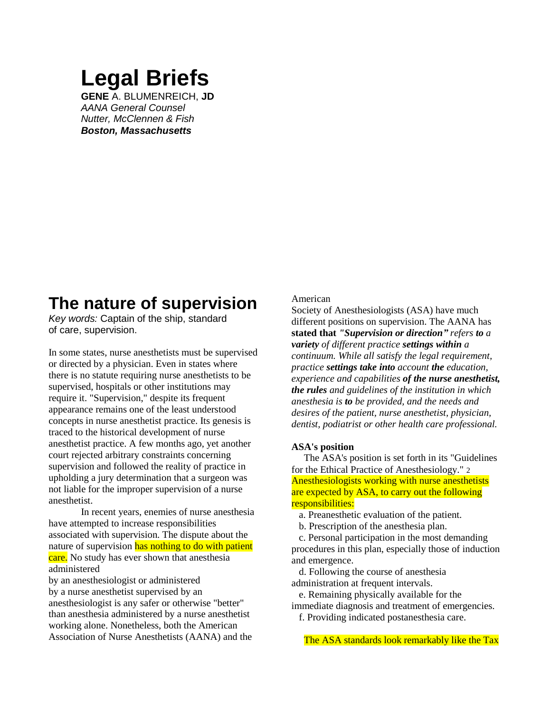# **Legal Briefs**

**GENE** A. BLUMENREICH, **JD** *AANA General Counsel Nutter, McClennen & Fish Boston, Massachusetts*

# **The nature of supervision**

*Key words:* Captain of the ship, standard of care, supervision.

In some states, nurse anesthetists must be supervised or directed by a physician. Even in states where there is no statute requiring nurse anesthetists to be supervised, hospitals or other institutions may require it. "Supervision," despite its frequent appearance remains one of the least understood concepts in nurse anesthetist practice. Its genesis is traced to the historical development of nurse anesthetist practice. A few months ago, yet another court rejected arbitrary constraints concerning supervision and followed the reality of practice in upholding a jury determination that a surgeon was not liable for the improper supervision of a nurse anesthetist.

In recent years, enemies of nurse anesthesia have attempted to increase responsibilities associated with supervision. The dispute about the nature of supervision has nothing to do with patient care. No study has ever shown that anesthesia administered

by an anesthesiologist or administered by a nurse anesthetist supervised by an anesthesiologist is any safer or otherwise "better" than anesthesia administered by a nurse anesthetist working alone. Nonetheless, both the American Association of Nurse Anesthetists (AANA) and the

# American

Society of Anesthesiologists (ASA) have much different positions on supervision. The AANA has **stated that** *"Supervision or direction" refers to a variety of different practice settings within a continuum. While all satisfy the legal requirement, practice settings take into account the education, experience and capabilities of the nurse anesthetist, the rules and guidelines of the institution in which anesthesia is to be provided, and the needs and desires of the patient, nurse anesthetist, physician, dentist, podiatrist or other health care professional.*

## **ASA's position**

 The ASA's position is set forth in its "Guidelines for the Ethical Practice of Anesthesiology." 2 Anesthesiologists working with nurse anesthetists are expected by ASA, to carry out the following responsibilities:

a. Preanesthetic evaluation of the patient.

b. Prescription of the anesthesia plan.

 c. Personal participation in the most demanding procedures in this plan, especially those of induction and emergence.

 d. Following the course of anesthesia administration at frequent intervals.

 e. Remaining physically available for the immediate diagnosis and treatment of emergencies. f. Providing indicated postanesthesia care.

The ASA standards look remarkably like the Tax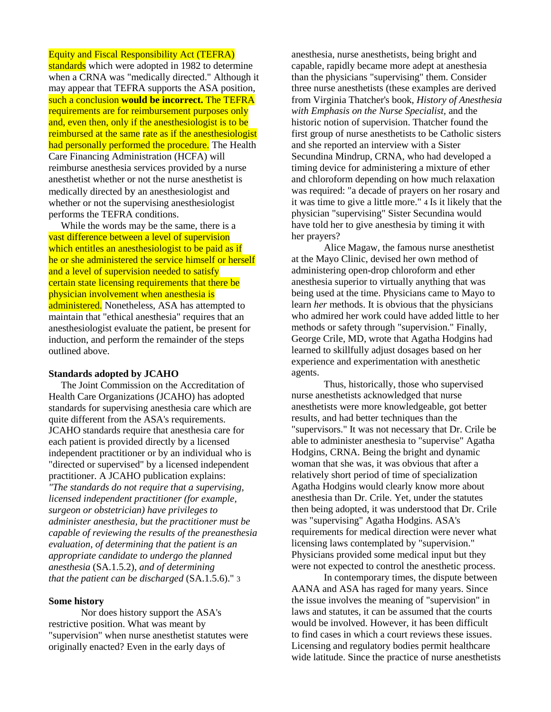# Equity and Fiscal Responsibility Act (TEFRA)

standards which were adopted in 1982 to determine when a CRNA was "medically directed." Although it may appear that TEFRA supports the ASA position, such a conclusion **would be incorrect.** The TEFRA requirements are for reimbursement purposes only and, even then, only if the anesthesiologist is to be reimbursed at the same rate as if the anesthesiologist had personally performed the procedure. The Health Care Financing Administration (HCFA) will reimburse anesthesia services provided by a nurse anesthetist whether or not the nurse anesthetist is medically directed by an anesthesiologist and whether or not the supervising anesthesiologist performs the TEFRA conditions.

 While the words may be the same, there is a vast difference between a level of supervision which entitles an anesthesiologist to be paid as if he or she administered the service himself or herself and a level of supervision needed to satisfy certain state licensing requirements that there be physician involvement when anesthesia is administered. Nonetheless, ASA has attempted to maintain that "ethical anesthesia" requires that an anesthesiologist evaluate the patient, be present for induction, and perform the remainder of the steps outlined above.

#### **Standards adopted by JCAHO**

 The Joint Commission on the Accreditation of Health Care Organizations (JCAHO) has adopted standards for supervising anesthesia care which are quite different from the ASA's requirements. JCAHO standards require that anesthesia care for each patient is provided directly by a licensed independent practitioner or by an individual who is "directed or supervised" by a licensed independent practitioner. A JCAHO publication explains: *"The standards do not require that a supervising, licensed independent practitioner (for example, surgeon or obstetrician) have privileges to administer anesthesia, but the practitioner must be capable of reviewing the results of the preanesthesia evaluation, of determining that the patient is an appropriate candidate to undergo the planned anesthesia* (SA.1.5.2), *and of determining that the patient can be discharged* (SA.1.5.6)." 3

#### **Some history**

Nor does history support the ASA's restrictive position. What was meant by "supervision" when nurse anesthetist statutes were originally enacted? Even in the early days of

anesthesia, nurse anesthetists, being bright and capable, rapidly became more adept at anesthesia than the physicians "supervising" them. Consider three nurse anesthetists (these examples are derived from Virginia Thatcher's book, *History of Anesthesia with Emphasis on the Nurse Specialist,* and the historic notion of supervision. Thatcher found the first group of nurse anesthetists to be Catholic sisters and she reported an interview with a Sister Secundina Mindrup, CRNA, who had developed a timing device for administering a mixture of ether and chloroform depending on how much relaxation was required: "a decade of prayers on her rosary and it was time to give a little more." 4 Is it likely that the physician "supervising" Sister Secundina would have told her to give anesthesia by timing it with her prayers?

Alice Magaw, the famous nurse anesthetist at the Mayo Clinic, devised her own method of administering open-drop chloroform and ether anesthesia superior to virtually anything that was being used at the time. Physicians came to Mayo to learn *her* methods. It is obvious that the physicians who admired her work could have added little to her methods or safety through "supervision." Finally, George Crile, MD, wrote that Agatha Hodgins had learned to skillfully adjust dosages based on her experience and experimentation with anesthetic agents.

Thus, historically, those who supervised nurse anesthetists acknowledged that nurse anesthetists were more knowledgeable, got better results, and had better techniques than the "supervisors." It was not necessary that Dr. Crile be able to administer anesthesia to "supervise" Agatha Hodgins, CRNA. Being the bright and dynamic woman that she was, it was obvious that after a relatively short period of time of specialization Agatha Hodgins would clearly know more about anesthesia than Dr. Crile. Yet, under the statutes then being adopted, it was understood that Dr. Crile was "supervising" Agatha Hodgins. ASA's requirements for medical direction were never what licensing laws contemplated by "supervision." Physicians provided some medical input but they were not expected to control the anesthetic process.

In contemporary times, the dispute between AANA and ASA has raged for many years. Since the issue involves the meaning of "supervision" in laws and statutes, it can be assumed that the courts would be involved. However, it has been difficult to find cases in which a court reviews these issues. Licensing and regulatory bodies permit healthcare wide latitude. Since the practice of nurse anesthetists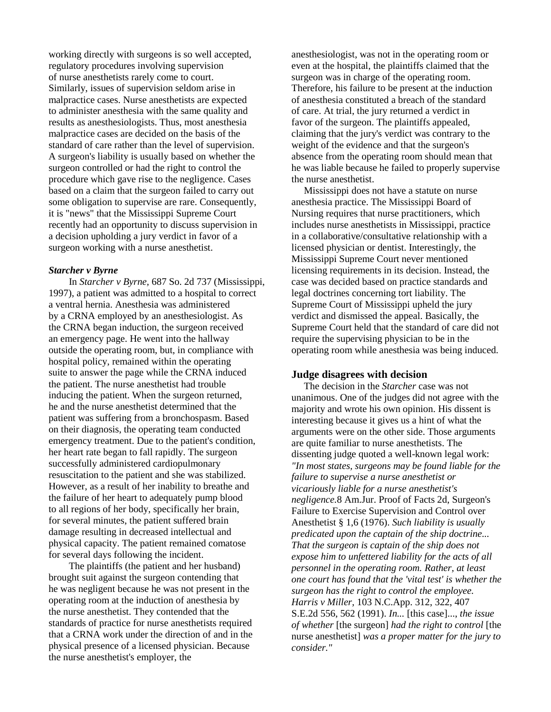working directly with surgeons is so well accepted, regulatory procedures involving supervision of nurse anesthetists rarely come to court. Similarly, issues of supervision seldom arise in malpractice cases. Nurse anesthetists are expected to administer anesthesia with the same quality and results as anesthesiologists. Thus, most anesthesia malpractice cases are decided on the basis of the standard of care rather than the level of supervision. A surgeon's liability is usually based on whether the surgeon controlled or had the right to control the procedure which gave rise to the negligence. Cases based on a claim that the surgeon failed to carry out some obligation to supervise are rare. Consequently, it is "news" that the Mississippi Supreme Court recently had an opportunity to discuss supervision in a decision upholding a jury verdict in favor of a surgeon working with a nurse anesthetist.

#### *Starcher v Byrne*

In *Starcher v Byrne,* 687 So. 2d 737 (Mississippi, 1997), a patient was admitted to a hospital to correct a ventral hernia. Anesthesia was administered by a CRNA employed by an anesthesiologist. As the CRNA began induction, the surgeon received an emergency page. He went into the hallway outside the operating room, but, in compliance with hospital policy, remained within the operating suite to answer the page while the CRNA induced the patient. The nurse anesthetist had trouble inducing the patient. When the surgeon returned, he and the nurse anesthetist determined that the patient was suffering from a bronchospasm. Based on their diagnosis, the operating team conducted emergency treatment. Due to the patient's condition, her heart rate began to fall rapidly. The surgeon successfully administered cardiopulmonary resuscitation to the patient and she was stabilized. However, as a result of her inability to breathe and the failure of her heart to adequately pump blood to all regions of her body, specifically her brain, for several minutes, the patient suffered brain damage resulting in decreased intellectual and physical capacity. The patient remained comatose for several days following the incident.

The plaintiffs (the patient and her husband) brought suit against the surgeon contending that he was negligent because he was not present in the operating room at the induction of anesthesia by the nurse anesthetist. They contended that the standards of practice for nurse anesthetists required that a CRNA work under the direction of and in the physical presence of a licensed physician. Because the nurse anesthetist's employer, the

anesthesiologist, was not in the operating room or even at the hospital, the plaintiffs claimed that the surgeon was in charge of the operating room. Therefore, his failure to be present at the induction of anesthesia constituted a breach of the standard of care. At trial, the jury returned a verdict in favor of the surgeon. The plaintiffs appealed, claiming that the jury's verdict was contrary to the weight of the evidence and that the surgeon's absence from the operating room should mean that he was liable because he failed to properly supervise the nurse anesthetist.

 Mississippi does not have a statute on nurse anesthesia practice. The Mississippi Board of Nursing requires that nurse practitioners, which includes nurse anesthetists in Mississippi, practice in a collaborative/consultative relationship with a licensed physician or dentist. Interestingly, the Mississippi Supreme Court never mentioned licensing requirements in its decision. Instead, the case was decided based on practice standards and legal doctrines concerning tort liability. The Supreme Court of Mississippi upheld the jury verdict and dismissed the appeal. Basically, the Supreme Court held that the standard of care did not require the supervising physician to be in the operating room while anesthesia was being induced.

## **Judge disagrees with decision**

 The decision in the *Starcher* case was not unanimous. One of the judges did not agree with the majority and wrote his own opinion. His dissent is interesting because it gives us a hint of what the arguments were on the other side. Those arguments are quite familiar to nurse anesthetists. The dissenting judge quoted a well-known legal work: *"In most states, surgeons may be found liable for the failure to supervise a nurse anesthetist or vicariously liable for a nurse anesthetist's negligence.*8 Am.Jur. Proof of Facts 2d, Surgeon's Failure to Exercise Supervision and Control over Anesthetist § 1,6 (1976). *Such liability is usually predicated upon the captain of the ship doctrine... That the surgeon is captain of the ship does not expose him to unfettered liability for the acts of all personnel in the operating room. Rather, at least one court has found that the 'vital test' is whether the surgeon has the right to control the employee. Harris v Miller,* 103 N.C.App. 312, 322, 407 S.E.2d 556, 562 (1991). *In...* [this case]..., *the issue of whether* [the surgeon] *had the right to control* [the nurse anesthetist] *was a proper matter for the jury to consider."*